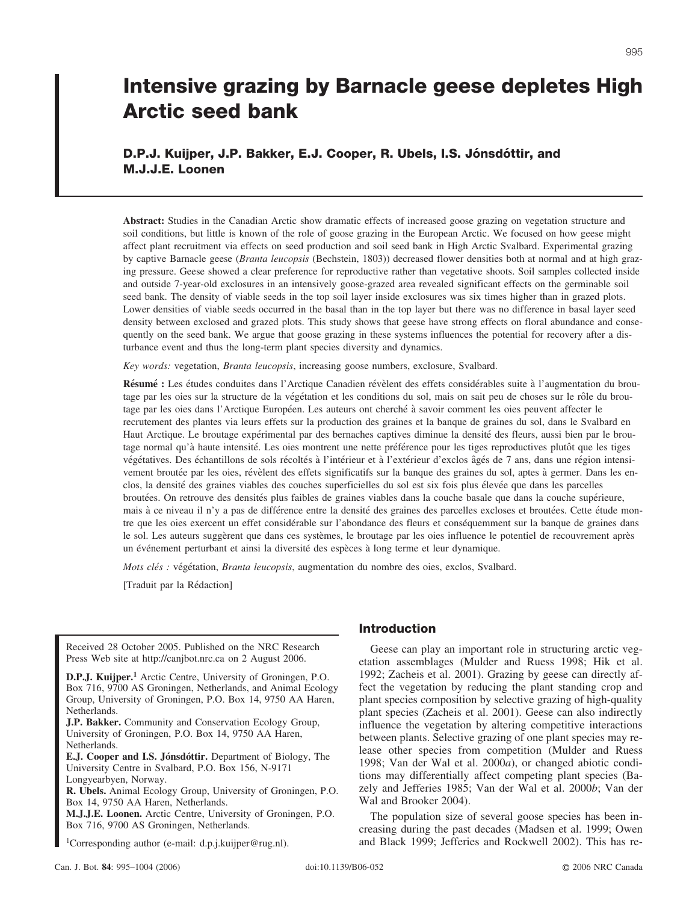# **Intensive grazing by Barnacle geese depletes High Arctic seed bank**

## **D.P.J. Kuijper, J.P. Bakker, E.J. Cooper, R. Ubels, I.S. Jo´nsdo´ttir, and M.J.J.E. Loonen**

**Abstract:** Studies in the Canadian Arctic show dramatic effects of increased goose grazing on vegetation structure and soil conditions, but little is known of the role of goose grazing in the European Arctic. We focused on how geese might affect plant recruitment via effects on seed production and soil seed bank in High Arctic Svalbard. Experimental grazing by captive Barnacle geese (*Branta leucopsis* (Bechstein, 1803)) decreased flower densities both at normal and at high grazing pressure. Geese showed a clear preference for reproductive rather than vegetative shoots. Soil samples collected inside and outside 7-year-old exclosures in an intensively goose-grazed area revealed significant effects on the germinable soil seed bank. The density of viable seeds in the top soil layer inside exclosures was six times higher than in grazed plots. Lower densities of viable seeds occurred in the basal than in the top layer but there was no difference in basal layer seed density between exclosed and grazed plots. This study shows that geese have strong effects on floral abundance and consequently on the seed bank. We argue that goose grazing in these systems influences the potential for recovery after a disturbance event and thus the long-term plant species diversity and dynamics.

*Key words:* vegetation, *Branta leucopsis*, increasing goose numbers, exclosure, Svalbard.

Résumé : Les études conduites dans l'Arctique Canadien révèlent des effets considérables suite à l'augmentation du broutage par les oies sur la structure de la végétation et les conditions du sol, mais on sait peu de choses sur le rôle du broutage par les oies dans l'Arctique Européen. Les auteurs ont cherché à savoir comment les oies peuvent affecter le recrutement des plantes via leurs effets sur la production des graines et la banque de graines du sol, dans le Svalbard en Haut Arctique. Le broutage expérimental par des bernaches captives diminue la densité des fleurs, aussi bien par le broutage normal qu'à haute intensité. Les oies montrent une nette préférence pour les tiges reproductives plutôt que les tiges végétatives. Des échantillons de sols récoltés à l'intérieur et à l'extérieur d'exclos âgés de 7 ans, dans une région intensivement broutée par les oies, révèlent des effets significatifs sur la banque des graines du sol, aptes à germer. Dans les enclos, la densité des graines viables des couches superficielles du sol est six fois plus élevée que dans les parcelles broutées. On retrouve des densités plus faibles de graines viables dans la couche basale que dans la couche supérieure, mais à ce niveau il n'y a pas de différence entre la densité des graines des parcelles excloses et broutées. Cette étude montre que les oies exercent un effet considérable sur l'abondance des fleurs et conséquemment sur la banque de graines dans le sol. Les auteurs suggèrent que dans ces systèmes, le broutage par les oies influence le potentiel de recouvrement après un événement perturbant et ainsi la diversité des espèces à long terme et leur dynamique.

*Mots clés : végétation, Branta leucopsis, augmentation du nombre des oies, exclos, Svalbard.* 

[Traduit par la Rédaction]

Received 28 October 2005. Published on the NRC Research Press Web site at http://canjbot.nrc.ca on 2 August 2006.

**D.P.J. Kuijper.<sup>1</sup>** Arctic Centre, University of Groningen, P.O. Box 716, 9700 AS Groningen, Netherlands, and Animal Ecology Group, University of Groningen, P.O. Box 14, 9750 AA Haren, Netherlands.

**J.P. Bakker.** Community and Conservation Ecology Group, University of Groningen, P.O. Box 14, 9750 AA Haren, Netherlands.

E.J. Cooper and I.S. Jónsdóttir. Department of Biology, The University Centre in Svalbard, P.O. Box 156, N-9171 Longyearbyen, Norway.

**R. Ubels.** Animal Ecology Group, University of Groningen, P.O. Box 14, 9750 AA Haren, Netherlands.

**M.J.J.E. Loonen.** Arctic Centre, University of Groningen, P.O. Box 716, 9700 AS Groningen, Netherlands.

1Corresponding author (e-mail: d.p.j.kuijper@rug.nl).

## **Introduction**

Geese can play an important role in structuring arctic vegetation assemblages (Mulder and Ruess 1998; Hik et al. 1992; Zacheis et al. 2001). Grazing by geese can directly affect the vegetation by reducing the plant standing crop and plant species composition by selective grazing of high-quality plant species (Zacheis et al. 2001). Geese can also indirectly influence the vegetation by altering competitive interactions between plants. Selective grazing of one plant species may release other species from competition (Mulder and Ruess 1998; Van der Wal et al. 2000*a*), or changed abiotic conditions may differentially affect competing plant species (Bazely and Jefferies 1985; Van der Wal et al. 2000*b*; Van der Wal and Brooker 2004).

The population size of several goose species has been increasing during the past decades (Madsen et al. 1999; Owen and Black 1999; Jefferies and Rockwell 2002). This has re-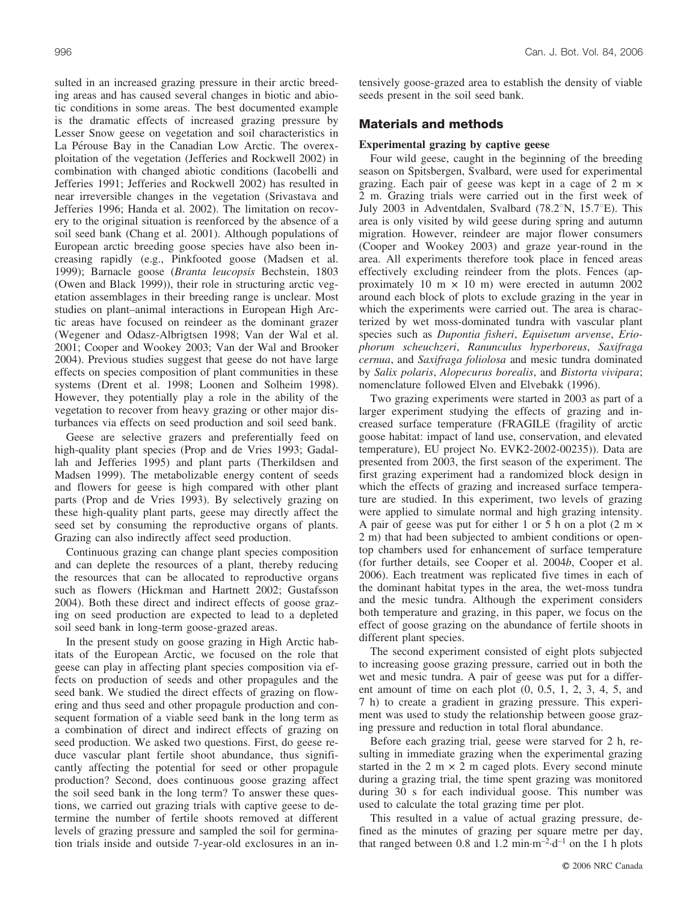sulted in an increased grazing pressure in their arctic breeding areas and has caused several changes in biotic and abiotic conditions in some areas. The best documented example is the dramatic effects of increased grazing pressure by Lesser Snow geese on vegetation and soil characteristics in La Pérouse Bay in the Canadian Low Arctic. The overexploitation of the vegetation (Jefferies and Rockwell 2002) in combination with changed abiotic conditions (Iacobelli and Jefferies 1991; Jefferies and Rockwell 2002) has resulted in near irreversible changes in the vegetation (Srivastava and Jefferies 1996; Handa et al. 2002). The limitation on recovery to the original situation is reenforced by the absence of a soil seed bank (Chang et al. 2001). Although populations of European arctic breeding goose species have also been in-

creasing rapidly (e.g., Pinkfooted goose (Madsen et al. 1999); Barnacle goose (*Branta leucopsis* Bechstein, 1803 (Owen and Black 1999)), their role in structuring arctic vegetation assemblages in their breeding range is unclear. Most studies on plant–animal interactions in European High Arctic areas have focused on reindeer as the dominant grazer (Wegener and Odasz-Albrigtsen 1998; Van der Wal et al. 2001; Cooper and Wookey 2003; Van der Wal and Brooker 2004). Previous studies suggest that geese do not have large effects on species composition of plant communities in these systems (Drent et al. 1998; Loonen and Solheim 1998). However, they potentially play a role in the ability of the vegetation to recover from heavy grazing or other major disturbances via effects on seed production and soil seed bank.

Geese are selective grazers and preferentially feed on high-quality plant species (Prop and de Vries 1993; Gadallah and Jefferies 1995) and plant parts (Therkildsen and Madsen 1999). The metabolizable energy content of seeds and flowers for geese is high compared with other plant parts (Prop and de Vries 1993). By selectively grazing on these high-quality plant parts, geese may directly affect the seed set by consuming the reproductive organs of plants. Grazing can also indirectly affect seed production.

Continuous grazing can change plant species composition and can deplete the resources of a plant, thereby reducing the resources that can be allocated to reproductive organs such as flowers (Hickman and Hartnett 2002; Gustafsson 2004). Both these direct and indirect effects of goose grazing on seed production are expected to lead to a depleted soil seed bank in long-term goose-grazed areas.

In the present study on goose grazing in High Arctic habitats of the European Arctic, we focused on the role that geese can play in affecting plant species composition via effects on production of seeds and other propagules and the seed bank. We studied the direct effects of grazing on flowering and thus seed and other propagule production and consequent formation of a viable seed bank in the long term as a combination of direct and indirect effects of grazing on seed production. We asked two questions. First, do geese reduce vascular plant fertile shoot abundance, thus significantly affecting the potential for seed or other propagule production? Second, does continuous goose grazing affect the soil seed bank in the long term? To answer these questions, we carried out grazing trials with captive geese to determine the number of fertile shoots removed at different levels of grazing pressure and sampled the soil for germination trials inside and outside 7-year-old exclosures in an intensively goose-grazed area to establish the density of viable seeds present in the soil seed bank.

## **Materials and methods**

#### **Experimental grazing by captive geese**

Four wild geese, caught in the beginning of the breeding season on Spitsbergen, Svalbard, were used for experimental grazing. Each pair of geese was kept in a cage of  $2 \text{ m} \times$ 2 m. Grazing trials were carried out in the first week of July 2003 in Adventdalen, Svalbard (78.2 $\mathrm{N}$ , 15.7 $\mathrm{E}$ ). This area is only visited by wild geese during spring and autumn migration. However, reindeer are major flower consumers (Cooper and Wookey 2003) and graze year-round in the area. All experiments therefore took place in fenced areas effectively excluding reindeer from the plots. Fences (approximately 10 m  $\times$  10 m) were erected in autumn 2002 around each block of plots to exclude grazing in the year in which the experiments were carried out. The area is characterized by wet moss-dominated tundra with vascular plant species such as *Dupontia fisheri*, *Equisetum arvense*, *Eriophorum scheuchzeri*, *Ranunculus hyperboreus*, *Saxifraga cernua*, and *Saxifraga foliolosa* and mesic tundra dominated by *Salix polaris*, *Alopecurus borealis*, and *Bistorta vivipara*; nomenclature followed Elven and Elvebakk (1996).

Two grazing experiments were started in 2003 as part of a larger experiment studying the effects of grazing and increased surface temperature (FRAGILE (fragility of arctic goose habitat: impact of land use, conservation, and elevated temperature), EU project No. EVK2-2002-00235)). Data are presented from 2003, the first season of the experiment. The first grazing experiment had a randomized block design in which the effects of grazing and increased surface temperature are studied. In this experiment, two levels of grazing were applied to simulate normal and high grazing intensity. A pair of geese was put for either 1 or 5 h on a plot  $(2 \text{ m} \times$ 2 m) that had been subjected to ambient conditions or opentop chambers used for enhancement of surface temperature (for further details, see Cooper et al. 2004*b*, Cooper et al. 2006). Each treatment was replicated five times in each of the dominant habitat types in the area, the wet-moss tundra and the mesic tundra. Although the experiment considers both temperature and grazing, in this paper, we focus on the effect of goose grazing on the abundance of fertile shoots in different plant species.

The second experiment consisted of eight plots subjected to increasing goose grazing pressure, carried out in both the wet and mesic tundra. A pair of geese was put for a different amount of time on each plot (0, 0.5, 1, 2, 3, 4, 5, and 7 h) to create a gradient in grazing pressure. This experiment was used to study the relationship between goose grazing pressure and reduction in total floral abundance.

Before each grazing trial, geese were starved for 2 h, resulting in immediate grazing when the experimental grazing started in the 2 m  $\times$  2 m caged plots. Every second minute during a grazing trial, the time spent grazing was monitored during 30 s for each individual goose. This number was used to calculate the total grazing time per plot.

This resulted in a value of actual grazing pressure, defined as the minutes of grazing per square metre per day, that ranged between 0.8 and 1.2 min $\cdot$ m $^{-2}\cdot$ d $^{-1}$  on the 1 h plots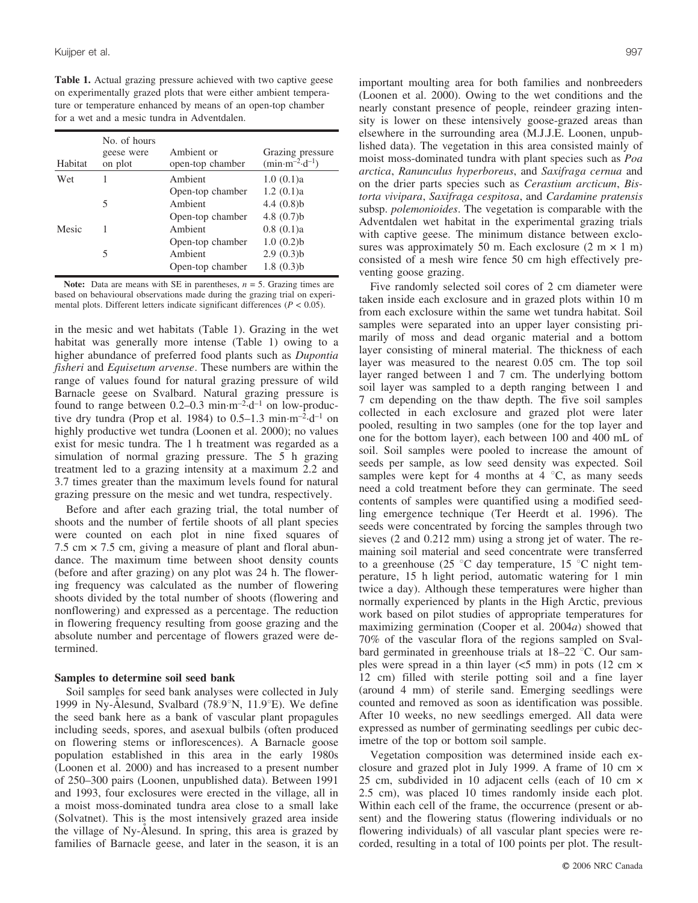**Table 1.** Actual grazing pressure achieved with two captive geese on experimentally grazed plots that were either ambient temperature or temperature enhanced by means of an open-top chamber for a wet and a mesic tundra in Adventdalen.

| Habitat | No. of hours<br>geese were<br>on plot | Ambient or<br>open-top chamber | Grazing pressure<br>$(min \cdot m^{-2} \cdot d^{-1})$ |
|---------|---------------------------------------|--------------------------------|-------------------------------------------------------|
| Wet     |                                       | Ambient                        | 1.0(0.1)a                                             |
|         |                                       | Open-top chamber               | 1.2(0.1)a                                             |
|         | 5                                     | Ambient                        | 4.4 $(0.8)$ b                                         |
|         |                                       | Open-top chamber               | 4.8 $(0.7)b$                                          |
| Mesic   |                                       | Ambient                        | 0.8(0.1)a                                             |
|         |                                       | Open-top chamber               | 1.0(0.2)b                                             |
|         |                                       | Ambient                        | 2.9(0.3)b                                             |
|         |                                       | Open-top chamber               | 1.8(0.3)b                                             |

**Note:** Data are means with SE in parentheses,  $n = 5$ . Grazing times are based on behavioural observations made during the grazing trial on experimental plots. Different letters indicate significant differences ( $P < 0.05$ ).

in the mesic and wet habitats (Table 1). Grazing in the wet habitat was generally more intense (Table 1) owing to a higher abundance of preferred food plants such as *Dupontia fisheri* and *Equisetum arvense*. These numbers are within the range of values found for natural grazing pressure of wild Barnacle geese on Svalbard. Natural grazing pressure is found to range between  $0.2-0.3$  min $\cdot$ m<sup>-2</sup> $\cdot$ d<sup>-1</sup> on low-productive dry tundra (Prop et al. 1984) to  $0.5-1.3$  min $\cdot$ m $^{-2}\cdot$ d $^{-1}$  on highly productive wet tundra (Loonen et al. 2000); no values exist for mesic tundra. The 1 h treatment was regarded as a simulation of normal grazing pressure. The 5 h grazing treatment led to a grazing intensity at a maximum 2.2 and 3.7 times greater than the maximum levels found for natural grazing pressure on the mesic and wet tundra, respectively.

Before and after each grazing trial, the total number of shoots and the number of fertile shoots of all plant species were counted on each plot in nine fixed squares of 7.5 cm  $\times$  7.5 cm, giving a measure of plant and floral abundance. The maximum time between shoot density counts (before and after grazing) on any plot was 24 h. The flowering frequency was calculated as the number of flowering shoots divided by the total number of shoots (flowering and nonflowering) and expressed as a percentage. The reduction in flowering frequency resulting from goose grazing and the absolute number and percentage of flowers grazed were determined.

#### **Samples to determine soil seed bank**

Soil samples for seed bank analyses were collected in July 1999 in Ny-Ålesund, Svalbard (78.9 $\degree$ N, 11.9 $\degree$ E). We define the seed bank here as a bank of vascular plant propagules including seeds, spores, and asexual bulbils (often produced on flowering stems or inflorescences). A Barnacle goose population established in this area in the early 1980s (Loonen et al. 2000) and has increased to a present number of 250–300 pairs (Loonen, unpublished data). Between 1991 and 1993, four exclosures were erected in the village, all in a moist moss-dominated tundra area close to a small lake (Solvatnet). This is the most intensively grazed area inside the village of Ny-Alesund. In spring, this area is grazed by families of Barnacle geese, and later in the season, it is an important moulting area for both families and nonbreeders (Loonen et al. 2000). Owing to the wet conditions and the nearly constant presence of people, reindeer grazing intensity is lower on these intensively goose-grazed areas than elsewhere in the surrounding area (M.J.J.E. Loonen, unpublished data). The vegetation in this area consisted mainly of moist moss-dominated tundra with plant species such as *Poa arctica*, *Ranunculus hyperboreus*, and *Saxifraga cernua* and on the drier parts species such as *Cerastium arcticum*, *Bistorta vivipara*, *Saxifraga cespitosa*, and *Cardamine pratensis* subsp. *polemonioides*. The vegetation is comparable with the Adventdalen wet habitat in the experimental grazing trials with captive geese. The minimum distance between exclosures was approximately 50 m. Each exclosure  $(2 \text{ m} \times 1 \text{ m})$ consisted of a mesh wire fence 50 cm high effectively preventing goose grazing.

Five randomly selected soil cores of 2 cm diameter were taken inside each exclosure and in grazed plots within 10 m from each exclosure within the same wet tundra habitat. Soil samples were separated into an upper layer consisting primarily of moss and dead organic material and a bottom layer consisting of mineral material. The thickness of each layer was measured to the nearest 0.05 cm. The top soil layer ranged between 1 and 7 cm. The underlying bottom soil layer was sampled to a depth ranging between 1 and 7 cm depending on the thaw depth. The five soil samples collected in each exclosure and grazed plot were later pooled, resulting in two samples (one for the top layer and one for the bottom layer), each between 100 and 400 mL of soil. Soil samples were pooled to increase the amount of seeds per sample, as low seed density was expected. Soil samples were kept for 4 months at  $4 \degree C$ , as many seeds need a cold treatment before they can germinate. The seed contents of samples were quantified using a modified seedling emergence technique (Ter Heerdt et al. 1996). The seeds were concentrated by forcing the samples through two sieves (2 and 0.212 mm) using a strong jet of water. The remaining soil material and seed concentrate were transferred to a greenhouse (25  $\degree$ C day temperature, 15  $\degree$ C night temperature, 15 h light period, automatic watering for 1 min twice a day). Although these temperatures were higher than normally experienced by plants in the High Arctic, previous work based on pilot studies of appropriate temperatures for maximizing germination (Cooper et al. 2004*a*) showed that 70% of the vascular flora of the regions sampled on Svalbard germinated in greenhouse trials at  $18-22$  °C. Our samples were spread in a thin layer ( $\leq$ 5 mm) in pots (12 cm  $\times$ 12 cm) filled with sterile potting soil and a fine layer (around 4 mm) of sterile sand. Emerging seedlings were counted and removed as soon as identification was possible. After 10 weeks, no new seedlings emerged. All data were expressed as number of germinating seedlings per cubic decimetre of the top or bottom soil sample.

Vegetation composition was determined inside each exclosure and grazed plot in July 1999. A frame of 10 cm  $\times$ 25 cm, subdivided in 10 adjacent cells (each of 10 cm 2.5 cm), was placed 10 times randomly inside each plot. Within each cell of the frame, the occurrence (present or absent) and the flowering status (flowering individuals or no flowering individuals) of all vascular plant species were recorded, resulting in a total of 100 points per plot. The result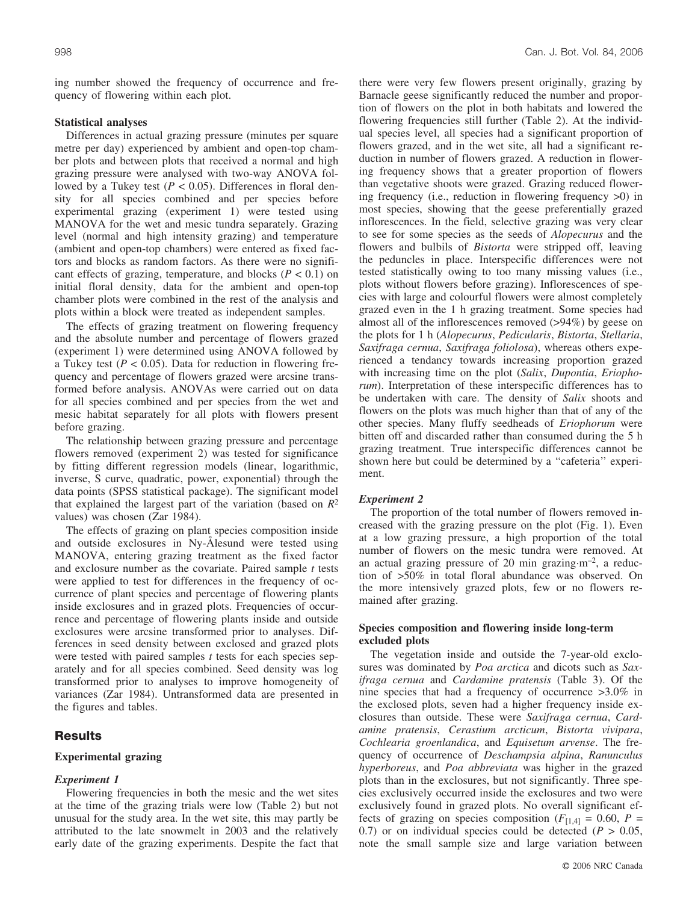ing number showed the frequency of occurrence and frequency of flowering within each plot.

#### **Statistical analyses**

Differences in actual grazing pressure (minutes per square metre per day) experienced by ambient and open-top chamber plots and between plots that received a normal and high grazing pressure were analysed with two-way ANOVA followed by a Tukey test  $(P < 0.05)$ . Differences in floral density for all species combined and per species before experimental grazing (experiment 1) were tested using MANOVA for the wet and mesic tundra separately. Grazing level (normal and high intensity grazing) and temperature (ambient and open-top chambers) were entered as fixed factors and blocks as random factors. As there were no significant effects of grazing, temperature, and blocks  $(P < 0.1)$  on initial floral density, data for the ambient and open-top chamber plots were combined in the rest of the analysis and plots within a block were treated as independent samples.

The effects of grazing treatment on flowering frequency and the absolute number and percentage of flowers grazed (experiment 1) were determined using ANOVA followed by a Tukey test  $(P < 0.05)$ . Data for reduction in flowering frequency and percentage of flowers grazed were arcsine transformed before analysis. ANOVAs were carried out on data for all species combined and per species from the wet and mesic habitat separately for all plots with flowers present before grazing.

The relationship between grazing pressure and percentage flowers removed (experiment 2) was tested for significance by fitting different regression models (linear, logarithmic, inverse, S curve, quadratic, power, exponential) through the data points (SPSS statistical package). The significant model that explained the largest part of the variation (based on *R*<sup>2</sup> values) was chosen (Zar 1984).

The effects of grazing on plant species composition inside and outside exclosures in Ny-Alesund were tested using MANOVA, entering grazing treatment as the fixed factor and exclosure number as the covariate. Paired sample *t* tests were applied to test for differences in the frequency of occurrence of plant species and percentage of flowering plants inside exclosures and in grazed plots. Frequencies of occurrence and percentage of flowering plants inside and outside exclosures were arcsine transformed prior to analyses. Differences in seed density between exclosed and grazed plots were tested with paired samples *t* tests for each species separately and for all species combined. Seed density was log transformed prior to analyses to improve homogeneity of variances (Zar 1984). Untransformed data are presented in the figures and tables.

#### **Results**

#### **Experimental grazing**

#### *Experiment 1*

Flowering frequencies in both the mesic and the wet sites at the time of the grazing trials were low (Table 2) but not unusual for the study area. In the wet site, this may partly be attributed to the late snowmelt in 2003 and the relatively early date of the grazing experiments. Despite the fact that there were very few flowers present originally, grazing by Barnacle geese significantly reduced the number and proportion of flowers on the plot in both habitats and lowered the flowering frequencies still further (Table 2). At the individual species level, all species had a significant proportion of flowers grazed, and in the wet site, all had a significant reduction in number of flowers grazed. A reduction in flowering frequency shows that a greater proportion of flowers than vegetative shoots were grazed. Grazing reduced flowering frequency (i.e., reduction in flowering frequency >0) in most species, showing that the geese preferentially grazed inflorescences. In the field, selective grazing was very clear to see for some species as the seeds of *Alopecurus* and the flowers and bulbils of *Bistorta* were stripped off, leaving the peduncles in place. Interspecific differences were not tested statistically owing to too many missing values (i.e., plots without flowers before grazing). Inflorescences of species with large and colourful flowers were almost completely grazed even in the 1 h grazing treatment. Some species had almost all of the inflorescences removed (>94%) by geese on the plots for 1 h (*Alopecurus*, *Pedicularis*, *Bistorta*, *Stellaria*, *Saxifraga cernua*, *Saxifraga foliolosa*), whereas others experienced a tendancy towards increasing proportion grazed with increasing time on the plot (*Salix*, *Dupontia*, *Eriophorum*). Interpretation of these interspecific differences has to be undertaken with care. The density of *Salix* shoots and flowers on the plots was much higher than that of any of the other species. Many fluffy seedheads of *Eriophorum* were bitten off and discarded rather than consumed during the 5 h grazing treatment. True interspecific differences cannot be shown here but could be determined by a ''cafeteria'' experiment.

#### *Experiment 2*

The proportion of the total number of flowers removed increased with the grazing pressure on the plot (Fig. 1). Even at a low grazing pressure, a high proportion of the total number of flowers on the mesic tundra were removed. At an actual grazing pressure of 20 min grazing·m<sup>-2</sup>, a reduction of >50% in total floral abundance was observed. On the more intensively grazed plots, few or no flowers remained after grazing.

#### **Species composition and flowering inside long-term excluded plots**

The vegetation inside and outside the 7-year-old exclosures was dominated by *Poa arctica* and dicots such as *Saxifraga cernua* and *Cardamine pratensis* (Table 3). Of the nine species that had a frequency of occurrence >3.0% in the exclosed plots, seven had a higher frequency inside exclosures than outside. These were *Saxifraga cernua*, *Cardamine pratensis*, *Cerastium arcticum*, *Bistorta vivipara*, *Cochlearia groenlandica*, and *Equisetum arvense*. The frequency of occurrence of *Deschampsia alpina*, *Ranunculus hyperboreus*, and *Poa abbreviata* was higher in the grazed plots than in the exclosures, but not significantly. Three species exclusively occurred inside the exclosures and two were exclusively found in grazed plots. No overall significant effects of grazing on species composition ( $F_{[1,4]} = 0.60$ ,  $P =$ 0.7) or on individual species could be detected  $(P > 0.05$ , note the small sample size and large variation between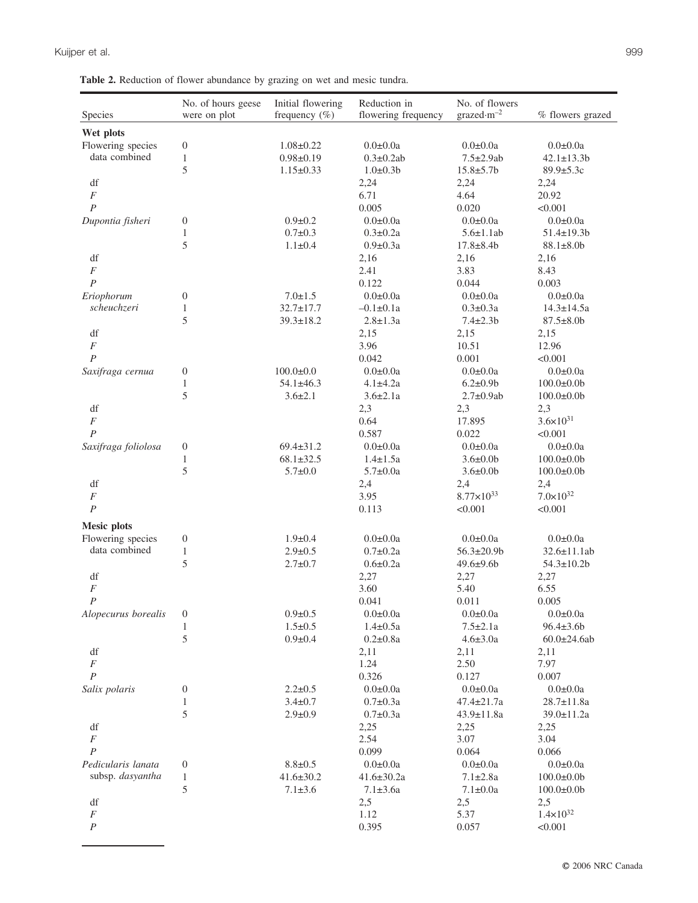#### Kuijper et al. 999

**Table 2.** Reduction of flower abundance by grazing on wet and mesic tundra.

|                     | No. of hours geese | Initial flowering | Reduction in        | No. of flowers<br>grazed $\cdot$ m <sup>-2</sup> | % flowers grazed     |
|---------------------|--------------------|-------------------|---------------------|--------------------------------------------------|----------------------|
| Species             | were on plot       | frequency $(\%)$  | flowering frequency |                                                  |                      |
| Wet plots           |                    |                   |                     |                                                  |                      |
| Flowering species   | $\boldsymbol{0}$   | $1.08 \pm 0.22$   | $0.0 \pm 0.0a$      | $0.0 \pm 0.0a$                                   | $0.0 \pm 0.0a$       |
| data combined       | $\mathbf{1}$       | $0.98 \pm 0.19$   | $0.3 \pm 0.2$ ab    | $7.5 \pm 2.9$ ab                                 | $42.1 \pm 13.3 b$    |
|                     | 5                  | $1.15 \pm 0.33$   | $1.0 \pm 0.3 b$     | $15.8 + 5.7$                                     | $89.9 \pm 5.3c$      |
| df                  |                    |                   | 2,24                | 2,24                                             | 2,24                 |
| $\cal F$            |                    |                   | 6.71                | 4.64                                             | 20.92                |
| $\overline{P}$      |                    |                   | 0.005               | 0.020                                            | < 0.001              |
| Dupontia fisheri    | $\boldsymbol{0}$   | $0.9 \pm 0.2$     | $0.0 \pm 0.0a$      | $0.0 \pm 0.0a$                                   | $0.0 \pm 0.0a$       |
|                     | $\mathbf{1}$       | $0.7 + 0.3$       | $0.3 \pm 0.2a$      | $5.6 \pm 1.1$ ab                                 | $51.4 \pm 19.3 b$    |
|                     | 5                  | $1.1 \pm 0.4$     | $0.9 \pm 0.3a$      | $17.8 + 8.4b$                                    | $88.1 \pm 8.0$       |
| df                  |                    |                   | 2,16                | 2,16                                             | 2,16                 |
| $\cal F$            |                    |                   | 2.41                | 3.83                                             | 8.43                 |
| $\overline{P}$      |                    |                   | 0.122               | 0.044                                            | 0.003                |
| Eriophorum          | $\boldsymbol{0}$   | $7.0 \pm 1.5$     | $0.0 \pm 0.0a$      | $0.0 \pm 0.0a$                                   | $0.0 \pm 0.0a$       |
| scheuchzeri         | $\mathbf{1}$       | $32.7 \pm 17.7$   | $-0.1 \pm 0.1a$     | $0.3 \pm 0.3a$                                   | $14.3 \pm 14.5a$     |
|                     | 5                  | $39.3 \pm 18.2$   | $2.8 + 1.3a$        | $7.4 + 2.3b$                                     | $87.5 \pm 8.0$       |
| df                  |                    |                   | 2,15                | 2,15                                             | 2,15                 |
| $\cal F$            |                    |                   | 3.96                | 10.51                                            | 12.96                |
| $\overline{P}$      |                    |                   | 0.042               | 0.001                                            | < 0.001              |
| Saxifraga cernua    | $\boldsymbol{0}$   | $100.0 \pm 0.0$   | $0.0 \pm 0.0a$      | $0.0 \pm 0.0a$                                   | $0.0 \pm 0.0a$       |
|                     | $\mathbf{1}$       | $54.1 \pm 46.3$   | $4.1 \pm 4.2a$      | $6.2 \pm 0.9$                                    | $100.0 \pm 0.0$      |
|                     | 5                  | $3.6 \pm 2.1$     | $3.6 \pm 2.1a$      | $2.7 \pm 0.9$ ab                                 | $100.0 \pm 0.0$      |
| df                  |                    |                   | 2,3                 | 2,3                                              | 2,3                  |
| $\cal F$            |                    |                   | 0.64                | 17.895                                           | $3.6 \times 10^{31}$ |
| $\overline{P}$      |                    |                   | 0.587               | 0.022                                            | < 0.001              |
| Saxifraga foliolosa | $\boldsymbol{0}$   | $69.4 \pm 31.2$   | $0.0 \pm 0.0a$      | $0.0 \pm 0.0a$                                   | $0.0 \pm 0.0a$       |
|                     | $\mathbf{1}$       | $68.1 \pm 32.5$   | $1.4 \pm 1.5a$      | $3.6 \pm 0.0$                                    | $100.0 \pm 0.0$      |
|                     | 5                  | $5.7 \pm 0.0$     | $5.7 \pm 0.0a$      | $3.6 \pm 0.0$                                    | $100.0 \pm 0.0$      |
| df                  |                    |                   | 2,4                 | 2,4                                              | 2,4                  |
| $\cal F$            |                    |                   | 3.95                | $8.77 \times 10^{33}$                            | $7.0 \times 10^{32}$ |
| $\overline{P}$      |                    |                   | 0.113               | < 0.001                                          | < 0.001              |
| <b>Mesic</b> plots  |                    |                   |                     |                                                  |                      |
| Flowering species   | $\boldsymbol{0}$   | $1.9 \pm 0.4$     | $0.0 \pm 0.0a$      | $0.0 + 0.0a$                                     | $0.0 \pm 0.0a$       |
| data combined       | $\mathbf{1}$       | $2.9 \pm 0.5$     | $0.7 \pm 0.2a$      | $56.3 \pm 20.9$                                  | $32.6 \pm 11.1$ ab   |
|                     | 5                  | $2.7 + 0.7$       | $0.6 \pm 0.2a$      | $49.6 \pm 9.6$                                   | $54.3 \pm 10.2 b$    |
| df                  |                    |                   | 2,27                | 2,27                                             | 2,27                 |
| $\cal F$            |                    |                   | 3.60                | 5.40                                             | 6.55                 |
| $\boldsymbol{P}$    |                    |                   | 0.041               | 0.011                                            | 0.005                |
| Alopecurus borealis | $\boldsymbol{0}$   | $0.9 \pm 0.5$     | $0.0 + 0.0a$        | $0.0 + 0.0a$                                     | $0.0\pm0.0a$         |
|                     | 1                  | $1.5 \pm 0.5$     | $1.4 \pm 0.5a$      | $7.5 + 2.1a$                                     | $96.4 \pm 3.6$       |
|                     | 5                  | $0.9 \pm 0.4$     | $0.2 \pm 0.8a$      | $4.6 \pm 3.0a$                                   | $60.0 \pm 24.6$ ab   |
| df                  |                    |                   | 2,11                | 2,11                                             | 2,11                 |
| $\cal F$            |                    |                   | 1.24                | 2.50                                             | 7.97                 |
| $\boldsymbol{P}$    |                    |                   | 0.326               | 0.127                                            | 0.007                |
| Salix polaris       | $\boldsymbol{0}$   | $2.2 \pm 0.5$     | $0.0 \pm 0.0a$      | $0.0 \pm 0.0a$                                   | $0.0 \pm 0.0a$       |
|                     | 1                  | $3.4 \pm 0.7$     | $0.7 \pm 0.3a$      | $47.4 \pm 21.7a$                                 | $28.7 \pm 11.8a$     |
|                     | 5                  | $2.9 \pm 0.9$     | $0.7 \pm 0.3a$      | $43.9 \pm 11.8a$                                 | $39.0 \pm 11.2a$     |
| df                  |                    |                   | 2,25                | 2,25                                             | 2,25                 |
| $\cal F$            |                    |                   | 2.54                | 3.07                                             | 3.04                 |
| $\boldsymbol{P}$    |                    |                   | 0.099               | 0.064                                            | 0.066                |
| Pedicularis lanata  | $\boldsymbol{0}$   | $8.8 \pm 0.5$     | $0.0 \pm 0.0a$      | $0.0 \pm 0.0a$                                   | $0.0 \pm 0.0a$       |
| subsp. dasyantha    | $\mathbf{1}$       | $41.6 \pm 30.2$   | $41.6 \pm 30.2a$    | $7.1 \pm 2.8a$                                   | $100.0 \pm 0.0$      |
|                     | 5                  | $7.1 \pm 3.6$     | $7.1 \pm 3.6a$      | $7.1 \pm 0.0a$                                   | $100.0 \pm 0.0$      |
| df                  |                    |                   | 2,5                 | 2,5                                              | 2,5                  |
| $\cal F$            |                    |                   | 1.12                | 5.37                                             | $1.4 \times 10^{32}$ |
| $\boldsymbol{P}$    |                    |                   | 0.395               | 0.057                                            | < 0.001              |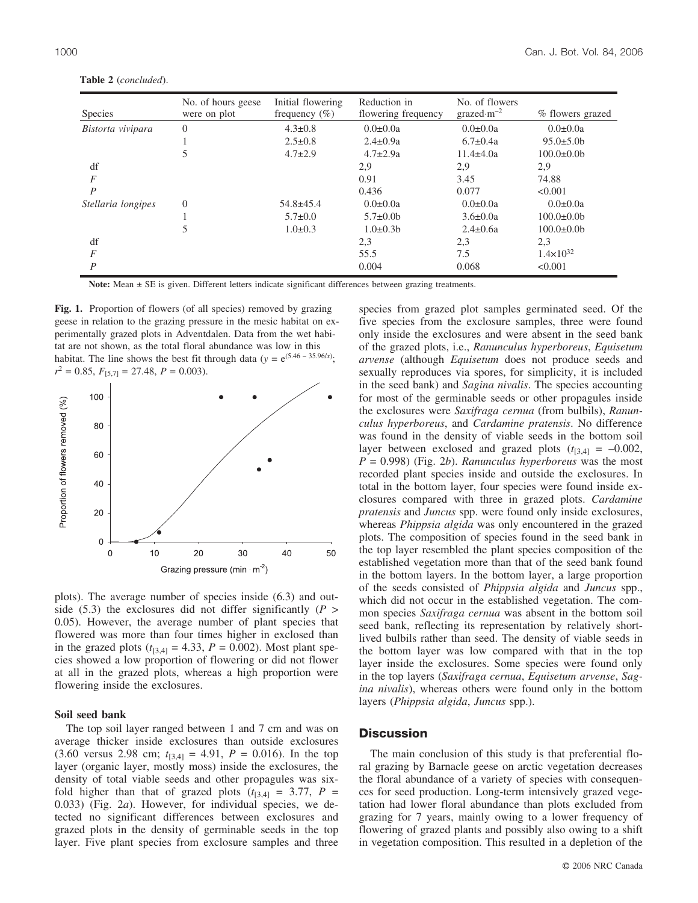| <b>Species</b>     | No. of hours geese<br>were on plot | Initial flowering<br>frequency $(\% )$ | Reduction in<br>flowering frequency | No. of flowers<br>grazed $\cdot$ m <sup>-2</sup> | % flowers grazed     |
|--------------------|------------------------------------|----------------------------------------|-------------------------------------|--------------------------------------------------|----------------------|
| Bistorta vivipara  | $\overline{0}$                     | $4.3 \pm 0.8$                          | $0.0 \pm 0.0a$                      | $0.0 \pm 0.0a$                                   | $0.0 \pm 0.0a$       |
|                    |                                    | $2.5 \pm 0.8$                          | $2.4 \pm 0.9a$                      | $6.7 \pm 0.4a$                                   | $95.0 \pm 5.0$       |
|                    | 5                                  | $4.7 \pm 2.9$                          | $4.7 \pm 2.9a$                      | $11.4 \pm 4.0a$                                  | $100.0 \pm 0.0$      |
| df                 |                                    |                                        | 2.9                                 | 2,9                                              | 2,9                  |
| $\overline{F}$     |                                    |                                        | 0.91                                | 3.45                                             | 74.88                |
| $\boldsymbol{P}$   |                                    |                                        | 0.436                               | 0.077                                            | < 0.001              |
| Stellaria longipes | $\overline{0}$                     | $54.8 \pm 45.4$                        | $0.0 \pm 0.0a$                      | $0.0 \pm 0.0a$                                   | $0.0 \pm 0.0a$       |
|                    |                                    | $5.7 \pm 0.0$                          | $5.7 \pm 0.0$                       | $3.6 \pm 0.0a$                                   | $100.0 \pm 0.0$      |
|                    | 5                                  | $1.0 \pm 0.3$                          | $1.0\pm0.3b$                        | $2.4 \pm 0.6a$                                   | $100.0 \pm 0.0$      |
| df                 |                                    |                                        | 2,3                                 | 2,3                                              | 2,3                  |
| $\overline{F}$     |                                    |                                        | 55.5                                | 7.5                                              | $1.4 \times 10^{32}$ |
| $\overline{P}$     |                                    |                                        | 0.004                               | 0.068                                            | < 0.001              |

**Table 2** (*concluded*).

Note: Mean  $\pm$  SE is given. Different letters indicate significant differences between grazing treatments.

**Fig. 1.** Proportion of flowers (of all species) removed by grazing geese in relation to the grazing pressure in the mesic habitat on experimentally grazed plots in Adventdalen. Data from the wet habitat are not shown, as the total floral abundance was low in this habitat. The line shows the best fit through data ( $y = e^{(5.46 - 35.96/x)}$ ;  $r^2 = 0.85$ ,  $F_{[5,7]} = 27.48$ ,  $P = 0.003$ ).



plots). The average number of species inside (6.3) and outside (5.3) the exclosures did not differ significantly  $(P >$ 0.05). However, the average number of plant species that flowered was more than four times higher in exclosed than in the grazed plots  $(t_{[3,4]} = 4.33, P = 0.002)$ . Most plant species showed a low proportion of flowering or did not flower at all in the grazed plots, whereas a high proportion were flowering inside the exclosures.

#### **Soil seed bank**

The top soil layer ranged between 1 and 7 cm and was on average thicker inside exclosures than outside exclosures  $(3.60 \text{ versus } 2.98 \text{ cm}; t_{[3,4]} = 4.91, P = 0.016)$ . In the top layer (organic layer, mostly moss) inside the exclosures, the density of total viable seeds and other propagules was sixfold higher than that of grazed plots  $(t_{[3,4]} = 3.77, P =$ 0.033) (Fig. 2*a*). However, for individual species, we detected no significant differences between exclosures and grazed plots in the density of germinable seeds in the top layer. Five plant species from exclosure samples and three species from grazed plot samples germinated seed. Of the five species from the exclosure samples, three were found only inside the exclosures and were absent in the seed bank of the grazed plots, i.e., *Ranunculus hyperboreus*, *Equisetum arvense* (although *Equisetum* does not produce seeds and sexually reproduces via spores, for simplicity, it is included in the seed bank) and *Sagina nivalis*. The species accounting for most of the germinable seeds or other propagules inside the exclosures were *Saxifraga cernua* (from bulbils), *Ranunculus hyperboreus*, and *Cardamine pratensis*. No difference was found in the density of viable seeds in the bottom soil layer between exclosed and grazed plots  $(t_{[3,4]} = -0.002,$ *P* = 0.998) (Fig. 2*b*). *Ranunculus hyperboreus* was the most recorded plant species inside and outside the exclosures. In total in the bottom layer, four species were found inside exclosures compared with three in grazed plots. *Cardamine pratensis* and *Juncus* spp. were found only inside exclosures, whereas *Phippsia algida* was only encountered in the grazed plots. The composition of species found in the seed bank in the top layer resembled the plant species composition of the established vegetation more than that of the seed bank found in the bottom layers. In the bottom layer, a large proportion of the seeds consisted of *Phippsia algida* and *Juncus* spp., which did not occur in the established vegetation. The common species *Saxifraga cernua* was absent in the bottom soil seed bank, reflecting its representation by relatively shortlived bulbils rather than seed. The density of viable seeds in the bottom layer was low compared with that in the top layer inside the exclosures. Some species were found only in the top layers (*Saxifraga cernua*, *Equisetum arvense*, *Sagina nivalis*), whereas others were found only in the bottom layers (*Phippsia algida*, *Juncus* spp.).

## **Discussion**

The main conclusion of this study is that preferential floral grazing by Barnacle geese on arctic vegetation decreases the floral abundance of a variety of species with consequences for seed production. Long-term intensively grazed vegetation had lower floral abundance than plots excluded from grazing for 7 years, mainly owing to a lower frequency of flowering of grazed plants and possibly also owing to a shift in vegetation composition. This resulted in a depletion of the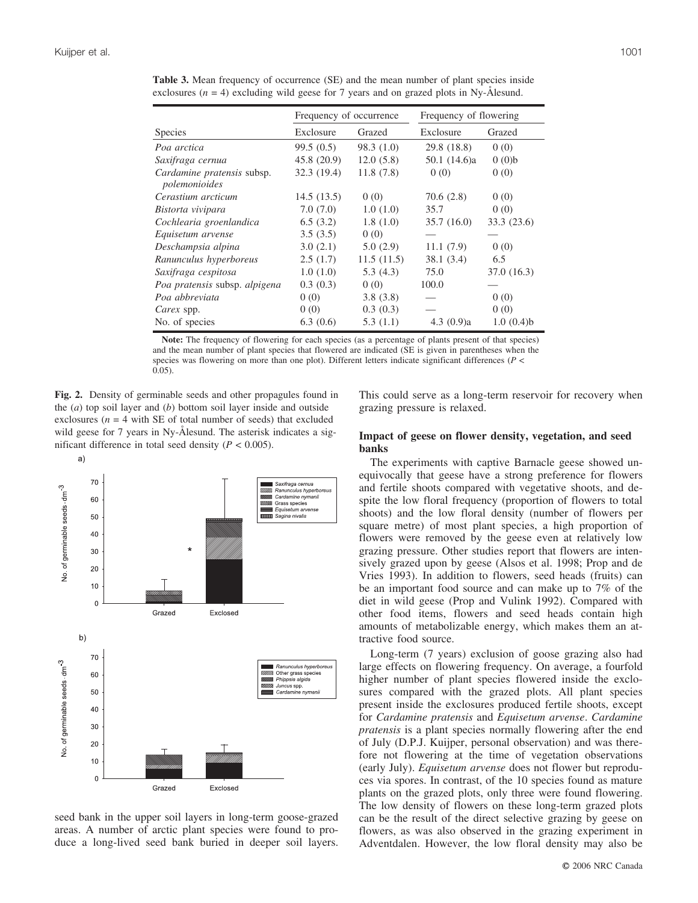|                                             | Frequency of occurrence |            | Frequency of flowering |             |
|---------------------------------------------|-------------------------|------------|------------------------|-------------|
| <b>Species</b>                              | Exclosure               | Grazed     | Exclosure              | Grazed      |
| Poa arctica                                 | 99.5(0.5)               | 98.3(1.0)  | 29.8 (18.8)            | 0(0)        |
| Saxifraga cernua                            | 45.8 (20.9)             | 12.0(5.8)  | 50.1 $(14.6)a$         | 0(0)        |
| Cardamine pratensis subsp.<br>polemonioides | 32.3(19.4)              | 11.8(7.8)  | 0(0)                   | 0(0)        |
| Cerastium arcticum                          | 14.5(13.5)              | 0(0)       | 70.6(2.8)              | 0(0)        |
| Bistorta vivipara                           | 7.0(7.0)                | 1.0(1.0)   | 35.7                   | 0(0)        |
| Cochlearia groenlandica                     | 6.5(3.2)                | 1.8(1.0)   | 35.7(16.0)             | 33.3 (23.6) |
| Equisetum arvense                           | 3.5(3.5)                | 0(0)       |                        |             |
| Deschampsia alpina                          | 3.0(2.1)                | 5.0(2.9)   | 11.1(7.9)              | 0(0)        |
| Ranunculus hyperboreus                      | 2.5(1.7)                | 11.5(11.5) | 38.1(3.4)              | 6.5         |
| Saxifraga cespitosa                         | 1.0(1.0)                | 5.3(4.3)   | 75.0                   | 37.0 (16.3) |
| Poa pratensis subsp. alpigena               | 0.3(0.3)                | 0(0)       | 100.0                  |             |
| Poa abbreviata                              | 0(0)                    | 3.8(3.8)   |                        | 0(0)        |
| Carex spp.                                  | 0(0)                    | 0.3(0.3)   |                        | 0(0)        |
| No. of species                              | 6.3(0.6)                | 5.3(1.1)   | 4.3 $(0.9)a$           | 1.0(0.4)b   |

**Table 3.** Mean frequency of occurrence (SE) and the mean number of plant species inside exclosures  $(n = 4)$  excluding wild geese for 7 years and on grazed plots in Ny-Alesund.

**Note:** The frequency of flowering for each species (as a percentage of plants present of that species) and the mean number of plant species that flowered are indicated (SE is given in parentheses when the species was flowering on more than one plot). Different letters indicate significant differences (*P* < 0.05).

**Fig. 2.** Density of germinable seeds and other propagules found in the (*a*) top soil layer and (*b*) bottom soil layer inside and outside exclosures ( $n = 4$  with SE of total number of seeds) that excluded wild geese for 7 years in Ny-Alesund. The asterisk indicates a significant difference in total seed density ( $P < 0.005$ ).



seed bank in the upper soil layers in long-term goose-grazed areas. A number of arctic plant species were found to produce a long-lived seed bank buried in deeper soil layers.

This could serve as a long-term reservoir for recovery when grazing pressure is relaxed.

#### **Impact of geese on flower density, vegetation, and seed banks**

The experiments with captive Barnacle geese showed unequivocally that geese have a strong preference for flowers and fertile shoots compared with vegetative shoots, and despite the low floral frequency (proportion of flowers to total shoots) and the low floral density (number of flowers per square metre) of most plant species, a high proportion of flowers were removed by the geese even at relatively low grazing pressure. Other studies report that flowers are intensively grazed upon by geese (Alsos et al. 1998; Prop and de Vries 1993). In addition to flowers, seed heads (fruits) can be an important food source and can make up to 7% of the diet in wild geese (Prop and Vulink 1992). Compared with other food items, flowers and seed heads contain high amounts of metabolizable energy, which makes them an attractive food source.

Long-term (7 years) exclusion of goose grazing also had large effects on flowering frequency. On average, a fourfold higher number of plant species flowered inside the exclosures compared with the grazed plots. All plant species present inside the exclosures produced fertile shoots, except for *Cardamine pratensis* and *Equisetum arvense*. *Cardamine pratensis* is a plant species normally flowering after the end of July (D.P.J. Kuijper, personal observation) and was therefore not flowering at the time of vegetation observations (early July). *Equisetum arvense* does not flower but reproduces via spores. In contrast, of the 10 species found as mature plants on the grazed plots, only three were found flowering. The low density of flowers on these long-term grazed plots can be the result of the direct selective grazing by geese on flowers, as was also observed in the grazing experiment in Adventdalen. However, the low floral density may also be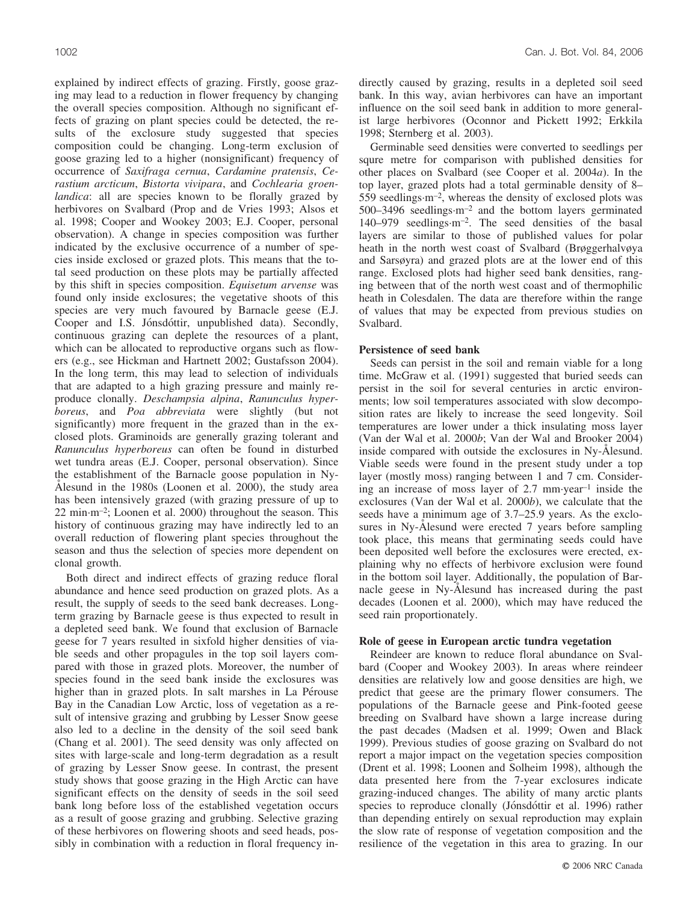explained by indirect effects of grazing. Firstly, goose grazing may lead to a reduction in flower frequency by changing the overall species composition. Although no significant effects of grazing on plant species could be detected, the results of the exclosure study suggested that species composition could be changing. Long-term exclusion of goose grazing led to a higher (nonsignificant) frequency of occurrence of *Saxifraga cernua*, *Cardamine pratensis*, *Cerastium arcticum*, *Bistorta vivipara*, and *Cochlearia groenlandica*: all are species known to be florally grazed by herbivores on Svalbard (Prop and de Vries 1993; Alsos et al. 1998; Cooper and Wookey 2003; E.J. Cooper, personal observation). A change in species composition was further indicated by the exclusive occurrence of a number of species inside exclosed or grazed plots. This means that the total seed production on these plots may be partially affected by this shift in species composition. *Equisetum arvense* was found only inside exclosures; the vegetative shoots of this species are very much favoured by Barnacle geese (E.J. Cooper and I.S. Jónsdóttir, unpublished data). Secondly, continuous grazing can deplete the resources of a plant, which can be allocated to reproductive organs such as flowers (e.g., see Hickman and Hartnett 2002; Gustafsson 2004). In the long term, this may lead to selection of individuals that are adapted to a high grazing pressure and mainly reproduce clonally. *Deschampsia alpina*, *Ranunculus hyperboreus*, and *Poa abbreviata* were slightly (but not significantly) more frequent in the grazed than in the exclosed plots. Graminoids are generally grazing tolerant and *Ranunculus hyperboreus* can often be found in disturbed wet tundra areas (E.J. Cooper, personal observation). Since the establishment of the Barnacle goose population in Ny-Alesund in the  $1980s$  (Loonen et al. 2000), the study area has been intensively grazed (with grazing pressure of up to 22 min-m–2; Loonen et al. 2000) throughout the season. This history of continuous grazing may have indirectly led to an overall reduction of flowering plant species throughout the season and thus the selection of species more dependent on clonal growth.

Both direct and indirect effects of grazing reduce floral abundance and hence seed production on grazed plots. As a result, the supply of seeds to the seed bank decreases. Longterm grazing by Barnacle geese is thus expected to result in a depleted seed bank. We found that exclusion of Barnacle geese for 7 years resulted in sixfold higher densities of viable seeds and other propagules in the top soil layers compared with those in grazed plots. Moreover, the number of species found in the seed bank inside the exclosures was higher than in grazed plots. In salt marshes in La Pérouse Bay in the Canadian Low Arctic, loss of vegetation as a result of intensive grazing and grubbing by Lesser Snow geese also led to a decline in the density of the soil seed bank (Chang et al. 2001). The seed density was only affected on sites with large-scale and long-term degradation as a result of grazing by Lesser Snow geese. In contrast, the present study shows that goose grazing in the High Arctic can have significant effects on the density of seeds in the soil seed bank long before loss of the established vegetation occurs as a result of goose grazing and grubbing. Selective grazing of these herbivores on flowering shoots and seed heads, possibly in combination with a reduction in floral frequency indirectly caused by grazing, results in a depleted soil seed bank. In this way, avian herbivores can have an important influence on the soil seed bank in addition to more generalist large herbivores (Oconnor and Pickett 1992; Erkkila 1998; Sternberg et al. 2003).

Germinable seed densities were converted to seedlings per squre metre for comparison with published densities for other places on Svalbard (see Cooper et al. 2004*a*). In the top layer, grazed plots had a total germinable density of 8–  $559$  seedlings $\cdot$ m<sup>-2</sup>, whereas the density of exclosed plots was 500–3496 seedlings-m–2 and the bottom layers germinated 140–979 seedlings-m–2. The seed densities of the basal layers are similar to those of published values for polar heath in the north west coast of Svalbard (Brøggerhalvøya and Sarsøyra) and grazed plots are at the lower end of this range. Exclosed plots had higher seed bank densities, ranging between that of the north west coast and of thermophilic heath in Colesdalen. The data are therefore within the range of values that may be expected from previous studies on Svalbard.

### **Persistence of seed bank**

Seeds can persist in the soil and remain viable for a long time. McGraw et al. (1991) suggested that buried seeds can persist in the soil for several centuries in arctic environments; low soil temperatures associated with slow decomposition rates are likely to increase the seed longevity. Soil temperatures are lower under a thick insulating moss layer (Van der Wal et al. 2000*b*; Van der Wal and Brooker 2004) inside compared with outside the exclosures in Ny-Ålesund. Viable seeds were found in the present study under a top layer (mostly moss) ranging between 1 and 7 cm. Considering an increase of moss layer of  $2.7 \text{ mm-year}^{-1}$  inside the exclosures (Van der Wal et al. 2000*b*), we calculate that the seeds have a minimum age of 3.7–25.9 years. As the exclosures in Ny-Alesund were erected 7 years before sampling took place, this means that germinating seeds could have been deposited well before the exclosures were erected, explaining why no effects of herbivore exclusion were found in the bottom soil layer. Additionally, the population of Barnacle geese in Ny-Alesund has increased during the past decades (Loonen et al. 2000), which may have reduced the seed rain proportionately.

#### **Role of geese in European arctic tundra vegetation**

Reindeer are known to reduce floral abundance on Svalbard (Cooper and Wookey 2003). In areas where reindeer densities are relatively low and goose densities are high, we predict that geese are the primary flower consumers. The populations of the Barnacle geese and Pink-footed geese breeding on Svalbard have shown a large increase during the past decades (Madsen et al. 1999; Owen and Black 1999). Previous studies of goose grazing on Svalbard do not report a major impact on the vegetation species composition (Drent et al. 1998; Loonen and Solheim 1998), although the data presented here from the 7-year exclosures indicate grazing-induced changes. The ability of many arctic plants species to reproduce clonally (Jónsdóttir et al. 1996) rather than depending entirely on sexual reproduction may explain the slow rate of response of vegetation composition and the resilience of the vegetation in this area to grazing. In our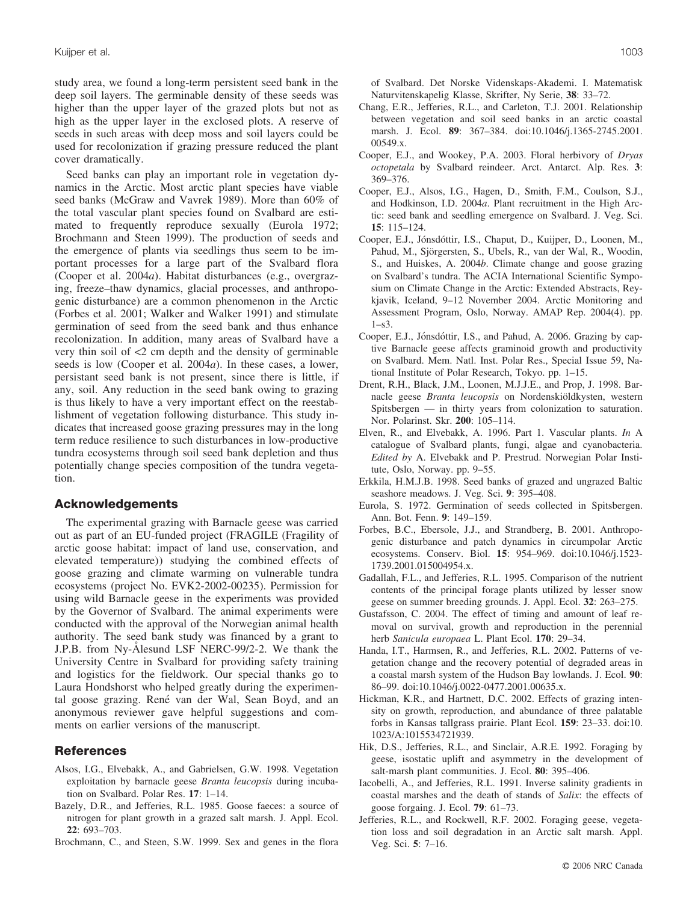study area, we found a long-term persistent seed bank in the deep soil layers. The germinable density of these seeds was higher than the upper layer of the grazed plots but not as high as the upper layer in the exclosed plots. A reserve of seeds in such areas with deep moss and soil layers could be used for recolonization if grazing pressure reduced the plant cover dramatically.

Seed banks can play an important role in vegetation dynamics in the Arctic. Most arctic plant species have viable seed banks (McGraw and Vavrek 1989). More than 60% of the total vascular plant species found on Svalbard are estimated to frequently reproduce sexually (Eurola 1972; Brochmann and Steen 1999). The production of seeds and the emergence of plants via seedlings thus seem to be important processes for a large part of the Svalbard flora (Cooper et al. 2004*a*). Habitat disturbances (e.g., overgrazing, freeze–thaw dynamics, glacial processes, and anthropogenic disturbance) are a common phenomenon in the Arctic (Forbes et al. 2001; Walker and Walker 1991) and stimulate germination of seed from the seed bank and thus enhance recolonization. In addition, many areas of Svalbard have a very thin soil of <2 cm depth and the density of germinable seeds is low (Cooper et al. 2004*a*). In these cases, a lower, persistant seed bank is not present, since there is little, if any, soil. Any reduction in the seed bank owing to grazing is thus likely to have a very important effect on the reestablishment of vegetation following disturbance. This study indicates that increased goose grazing pressures may in the long term reduce resilience to such disturbances in low-productive tundra ecosystems through soil seed bank depletion and thus potentially change species composition of the tundra vegetation.

#### **Acknowledgements**

The experimental grazing with Barnacle geese was carried out as part of an EU-funded project (FRAGILE (Fragility of arctic goose habitat: impact of land use, conservation, and elevated temperature)) studying the combined effects of goose grazing and climate warming on vulnerable tundra ecosystems (project No. EVK2-2002-00235). Permission for using wild Barnacle geese in the experiments was provided by the Governor of Svalbard. The animal experiments were conducted with the approval of the Norwegian animal health authority. The seed bank study was financed by a grant to J.P.B. from Ny-Alesund LSF NERC-99/2-2. We thank the University Centre in Svalbard for providing safety training and logistics for the fieldwork. Our special thanks go to Laura Hondshorst who helped greatly during the experimental goose grazing. René van der Wal, Sean Boyd, and an anonymous reviewer gave helpful suggestions and comments on earlier versions of the manuscript.

#### **References**

- Alsos, I.G., Elvebakk, A., and Gabrielsen, G.W. 1998. Vegetation exploitation by barnacle geese *Branta leucopsis* during incubation on Svalbard. Polar Res. **17**: 1–14.
- Bazely, D.R., and Jefferies, R.L. 1985. Goose faeces: a source of nitrogen for plant growth in a grazed salt marsh. J. Appl. Ecol. **22**: 693–703.
- Brochmann, C., and Steen, S.W. 1999. Sex and genes in the flora

of Svalbard. Det Norske Videnskaps-Akademi. I. Matematisk Naturvitenskapelig Klasse, Skrifter, Ny Serie, **38**: 33–72.

- Chang, E.R., Jefferies, R.L., and Carleton, T.J. 2001. Relationship between vegetation and soil seed banks in an arctic coastal marsh. J. Ecol. **89**: 367–384. doi:10.1046/j.1365-2745.2001. 00549.x.
- Cooper, E.J., and Wookey, P.A. 2003. Floral herbivory of *Dryas octopetala* by Svalbard reindeer. Arct. Antarct. Alp. Res. **3**: 369–376.
- Cooper, E.J., Alsos, I.G., Hagen, D., Smith, F.M., Coulson, S.J., and Hodkinson, I.D. 2004*a*. Plant recruitment in the High Arctic: seed bank and seedling emergence on Svalbard. J. Veg. Sci. **15**: 115–124.
- Cooper, E.J., Jónsdóttir, I.S., Chaput, D., Kuijper, D., Loonen, M., Pahud, M., Sjörgersten, S., Ubels, R., van der Wal, R., Woodin, S., and Huiskes, A. 2004*b*. Climate change and goose grazing on Svalbard's tundra. The ACIA International Scientific Symposium on Climate Change in the Arctic: Extended Abstracts, Reykjavik, Iceland, 9–12 November 2004. Arctic Monitoring and Assessment Program, Oslo, Norway. AMAP Rep. 2004(4). pp. 1–s3.
- Cooper, E.J., Jónsdóttir, I.S., and Pahud, A. 2006. Grazing by captive Barnacle geese affects graminoid growth and productivity on Svalbard. Mem. Natl. Inst. Polar Res., Special Issue 59, National Institute of Polar Research, Tokyo. pp. 1–15.
- Drent, R.H., Black, J.M., Loonen, M.J.J.E., and Prop, J. 1998. Barnacle geese *Branta leucopsis* on Nordenskiöldkysten, western Spitsbergen — in thirty years from colonization to saturation. Nor. Polarinst. Skr. **200**: 105–114.
- Elven, R., and Elvebakk, A. 1996. Part 1. Vascular plants. *In* A catalogue of Svalbard plants, fungi, algae and cyanobacteria. *Edited by* A. Elvebakk and P. Prestrud. Norwegian Polar Institute, Oslo, Norway. pp. 9–55.
- Erkkila, H.M.J.B. 1998. Seed banks of grazed and ungrazed Baltic seashore meadows. J. Veg. Sci. **9**: 395–408.
- Eurola, S. 1972. Germination of seeds collected in Spitsbergen. Ann. Bot. Fenn. **9**: 149–159.
- Forbes, B.C., Ebersole, J.J., and Strandberg, B. 2001. Anthropogenic disturbance and patch dynamics in circumpolar Arctic ecosystems. Conserv. Biol. **15**: 954–969. doi:10.1046/j.1523- 1739.2001.015004954.x.
- Gadallah, F.L., and Jefferies, R.L. 1995. Comparison of the nutrient contents of the principal forage plants utilized by lesser snow geese on summer breeding grounds. J. Appl. Ecol. **32**: 263–275.
- Gustafsson, C. 2004. The effect of timing and amount of leaf removal on survival, growth and reproduction in the perennial herb *Sanicula europaea* L. Plant Ecol. **170**: 29–34.
- Handa, I.T., Harmsen, R., and Jefferies, R.L. 2002. Patterns of vegetation change and the recovery potential of degraded areas in a coastal marsh system of the Hudson Bay lowlands. J. Ecol. **90**: 86–99. doi:10.1046/j.0022-0477.2001.00635.x.
- Hickman, K.R., and Hartnett, D.C. 2002. Effects of grazing intensity on growth, reproduction, and abundance of three palatable forbs in Kansas tallgrass prairie. Plant Ecol. **159**: 23–33. doi:10. 1023/A:1015534721939.
- Hik, D.S., Jefferies, R.L., and Sinclair, A.R.E. 1992. Foraging by geese, isostatic uplift and asymmetry in the development of salt-marsh plant communities. J. Ecol. **80**: 395–406.
- Iacobelli, A., and Jefferies, R.L. 1991. Inverse salinity gradients in coastal marshes and the death of stands of *Salix*: the effects of goose forgaing. J. Ecol. **79**: 61–73.
- Jefferies, R.L., and Rockwell, R.F. 2002. Foraging geese, vegetation loss and soil degradation in an Arctic salt marsh. Appl. Veg. Sci. **5**: 7–16.